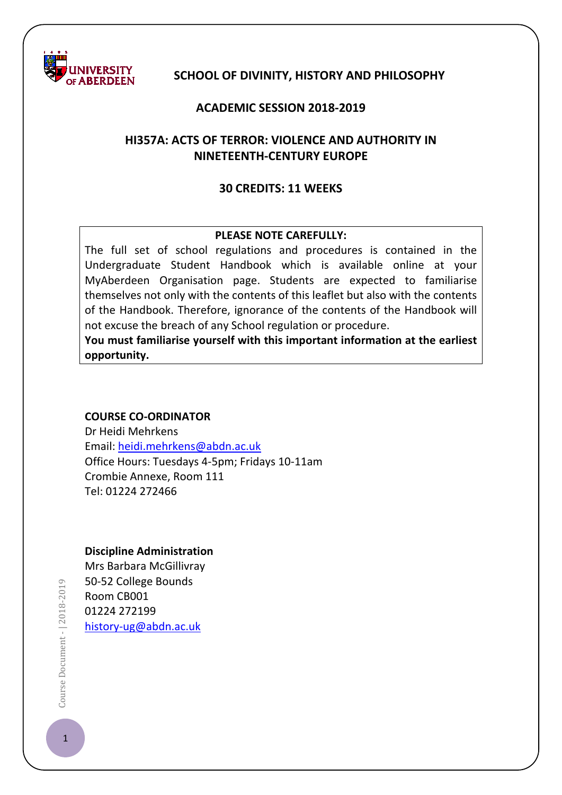

### **SCHOOL OF DIVINITY, HISTORY AND PHILOSOPHY**

#### **ACADEMIC SESSION 2018-2019**

# **HI357A: ACTS OF TERROR: VIOLENCE AND AUTHORITY IN NINETEENTH-CENTURY EUROPE**

#### **30 CREDITS: 11 WEEKS**

### **PLEASE NOTE CAREFULLY:**

The full set of school regulations and procedures is contained in the Undergraduate Student Handbook which is available online at your MyAberdeen Organisation page. Students are expected to familiarise themselves not only with the contents of this leaflet but also with the contents of the Handbook. Therefore, ignorance of the contents of the Handbook will not excuse the breach of any School regulation or procedure.

**You must familiarise yourself with this important information at the earliest opportunity.**

#### **COURSE CO-ORDINATOR**

Dr Heidi Mehrkens Email: [heidi.mehrkens@abdn.ac.uk](mailto:heidi.mehrkens@abdn.ac.uk) Office Hours: Tuesdays 4-5pm; Fridays 10-11am Crombie Annexe, Room 111 Tel: 01224 272466

#### **Discipline Administration**

Mrs Barbara McGillivray 50-52 College Bounds Room CB001 01224 272199 [history-ug@abdn.ac.uk](mailto:history-ug@abdn.ac.uk)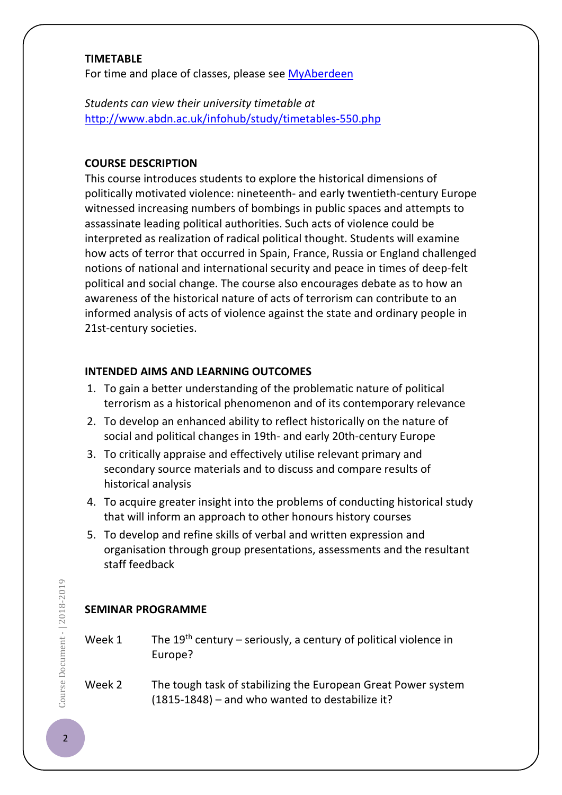### **TIMETABLE**

For time and place of classes, please see [MyAberdeen](https://abdn.blackboard.com/)

*Students can view their university timetable at*  <http://www.abdn.ac.uk/infohub/study/timetables-550.php>

# **COURSE DESCRIPTION**

This course introduces students to explore the historical dimensions of politically motivated violence: nineteenth- and early twentieth-century Europe witnessed increasing numbers of bombings in public spaces and attempts to assassinate leading political authorities. Such acts of violence could be interpreted as realization of radical political thought. Students will examine how acts of terror that occurred in Spain, France, Russia or England challenged notions of national and international security and peace in times of deep-felt political and social change. The course also encourages debate as to how an awareness of the historical nature of acts of terrorism can contribute to an informed analysis of acts of violence against the state and ordinary people in 21st-century societies.

# **INTENDED AIMS AND LEARNING OUTCOMES**

- 1. To gain a better understanding of the problematic nature of political terrorism as a historical phenomenon and of its contemporary relevance
- 2. To develop an enhanced ability to reflect historically on the nature of social and political changes in 19th- and early 20th-century Europe
- 3. To critically appraise and effectively utilise relevant primary and secondary source materials and to discuss and compare results of historical analysis
- 4. To acquire greater insight into the problems of conducting historical study that will inform an approach to other honours history courses
- 5. To develop and refine skills of verbal and written expression and organisation through group presentations, assessments and the resultant staff feedback

# **SEMINAR PROGRAMME**

| Week 1 | The 19 <sup>th</sup> century – seriously, a century of political violence in |
|--------|------------------------------------------------------------------------------|
|        | Europe?                                                                      |

Week 2 The tough task of stabilizing the European Great Power system (1815-1848) – and who wanted to destabilize it?

Course Document - | 2018-2019 2018-2019<br>
2018-2019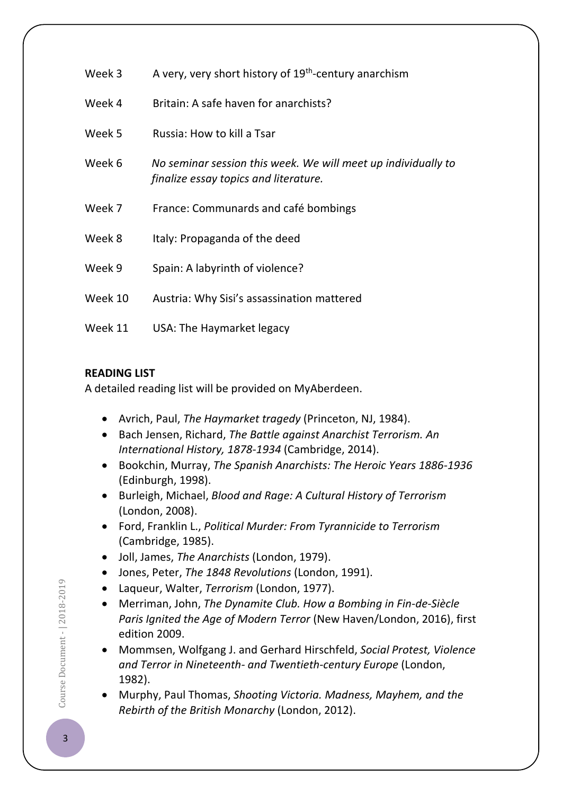| Week 3  | A very, very short history of 19 <sup>th</sup> -century anarchism                                      |
|---------|--------------------------------------------------------------------------------------------------------|
| Week 4  | Britain: A safe haven for anarchists?                                                                  |
| Week 5  | Russia: How to kill a Tsar                                                                             |
| Week 6  | No seminar session this week. We will meet up individually to<br>finalize essay topics and literature. |
| Week 7  | France: Communards and café bombings                                                                   |
| Week 8  | Italy: Propaganda of the deed                                                                          |
| Week 9  | Spain: A labyrinth of violence?                                                                        |
| Week 10 | Austria: Why Sisi's assassination mattered                                                             |
| Week 11 | USA: The Haymarket legacy                                                                              |

# **READING LIST**

A detailed reading list will be provided on MyAberdeen.

- Avrich, Paul, *The Haymarket tragedy* (Princeton, NJ, 1984).
- Bach Jensen, Richard, *The Battle against Anarchist Terrorism. An International History, 1878-1934* (Cambridge, 2014).
- Bookchin, Murray, *The Spanish Anarchists: The Heroic Years 1886-1936* (Edinburgh, 1998).
- Burleigh, Michael, *Blood and Rage: A Cultural History of Terrorism* (London, 2008).
- Ford, Franklin L., *Political Murder: From Tyrannicide to Terrorism* (Cambridge, 1985).
- Joll, James, *The Anarchists* (London, 1979).
- Jones, Peter, *The 1848 Revolutions* (London, 1991).
- Laqueur, Walter, *Terrorism* (London, 1977).
- Merriman, John, *The Dynamite Club. How a Bombing in Fin-de-Siècle Paris Ignited the Age of Modern Terror* (New Haven/London, 2016), first edition 2009.
- Mommsen, Wolfgang J. and Gerhard Hirschfeld, *Social Protest, Violence and Terror in Nineteenth- and Twentieth-century Europe* (London, 1982).
- Murphy, Paul Thomas, *Shooting Victoria. Madness, Mayhem, and the Rebirth of the British Monarchy* (London, 2012).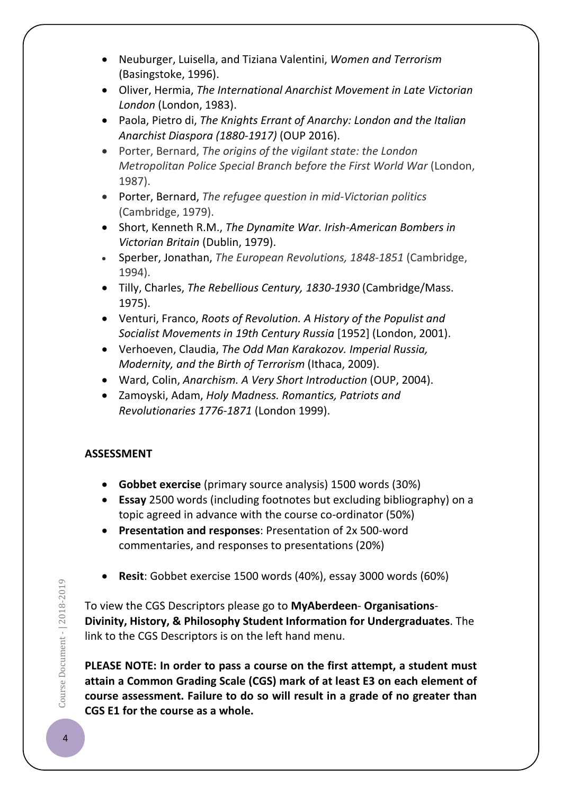- Neuburger, Luisella, and Tiziana Valentini, *Women and Terrorism* (Basingstoke, 1996).
- Oliver, Hermia, *The International Anarchist Movement in Late Victorian London* (London, 1983).
- Paola, Pietro di, *The Knights Errant of Anarchy: London and the Italian Anarchist Diaspora (1880-1917)* (OUP 2016).
- Porter, Bernard, *The origins of the vigilant state: the London Metropolitan Police Special Branch before the First World War* (London, 1987).
- Porter, Bernard, *The refugee question in mid-Victorian politics* (Cambridge, 1979).
- Short, Kenneth R.M., *The Dynamite War. Irish-American Bombers in Victorian Britain* (Dublin, 1979).
- Sperber, Jonathan, *The European Revolutions, 1848-1851* (Cambridge, 1994).
- Tilly, Charles, *The Rebellious Century, 1830-1930* (Cambridge/Mass. 1975).
- Venturi, Franco, *Roots of Revolution. A History of the Populist and Socialist Movements in 19th Century Russia* [1952] (London, 2001).
- Verhoeven, Claudia, *The Odd Man Karakozov. Imperial Russia, Modernity, and the Birth of Terrorism* (Ithaca, 2009).
- Ward, Colin, *Anarchism. A Very Short Introduction* (OUP, 2004).
- Zamoyski, Adam, *Holy Madness. Romantics, Patriots and Revolutionaries 1776-1871* (London 1999).

# **ASSESSMENT**

- **Gobbet exercise** (primary source analysis) 1500 words (30%)
- **Essay** 2500 words (including footnotes but excluding bibliography) on a topic agreed in advance with the course co-ordinator (50%)
- **Presentation and responses**: Presentation of 2x 500-word commentaries, and responses to presentations (20%)
- **Resit**: Gobbet exercise 1500 words (40%), essay 3000 words (60%)

To view the CGS Descriptors please go to **MyAberdeen**- **Organisations**-**Divinity, History, & Philosophy Student Information for Undergraduates**. The link to the CGS Descriptors is on the left hand menu.

**PLEASE NOTE: In order to pass a course on the first attempt, a student must attain a Common Grading Scale (CGS) mark of at least E3 on each element of course assessment. Failure to do so will result in a grade of no greater than CGS E1 for the course as a whole.**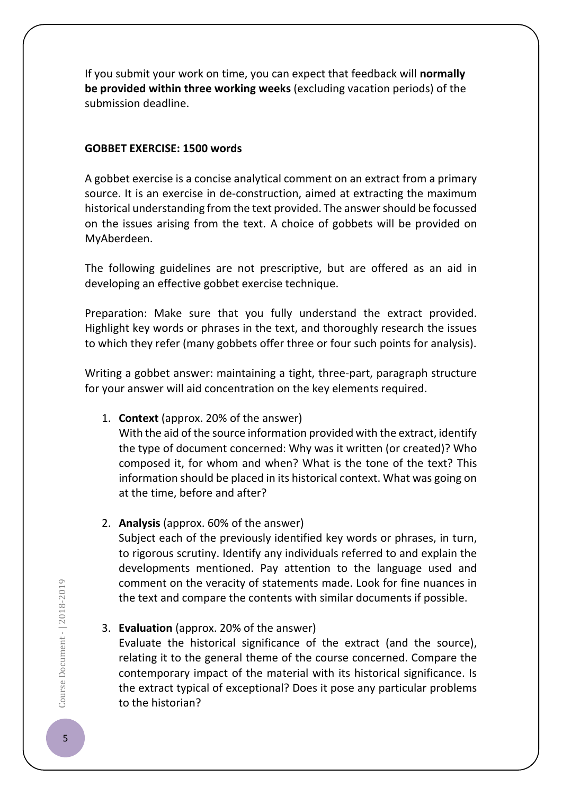If you submit your work on time, you can expect that feedback will **normally be provided within three working weeks** (excluding vacation periods) of the submission deadline.

#### **GOBBET EXERCISE: 1500 words**

A gobbet exercise is a concise analytical comment on an extract from a primary source. It is an exercise in de-construction, aimed at extracting the maximum historical understanding from the text provided. The answer should be focussed on the issues arising from the text. A choice of gobbets will be provided on MyAberdeen.

The following guidelines are not prescriptive, but are offered as an aid in developing an effective gobbet exercise technique.

Preparation: Make sure that you fully understand the extract provided. Highlight key words or phrases in the text, and thoroughly research the issues to which they refer (many gobbets offer three or four such points for analysis).

Writing a gobbet answer: maintaining a tight, three-part, paragraph structure for your answer will aid concentration on the key elements required.

## 1. **Context** (approx. 20% of the answer)

With the aid of the source information provided with the extract, identify the type of document concerned: Why was it written (or created)? Who composed it, for whom and when? What is the tone of the text? This information should be placed in its historical context. What was going on at the time, before and after?

## 2. **Analysis** (approx. 60% of the answer)

Subject each of the previously identified key words or phrases, in turn, to rigorous scrutiny. Identify any individuals referred to and explain the developments mentioned. Pay attention to the language used and comment on the veracity of statements made. Look for fine nuances in the text and compare the contents with similar documents if possible.

# 3. **Evaluation** (approx. 20% of the answer)

Evaluate the historical significance of the extract (and the source), relating it to the general theme of the course concerned. Compare the contemporary impact of the material with its historical significance. Is the extract typical of exceptional? Does it pose any particular problems to the historian?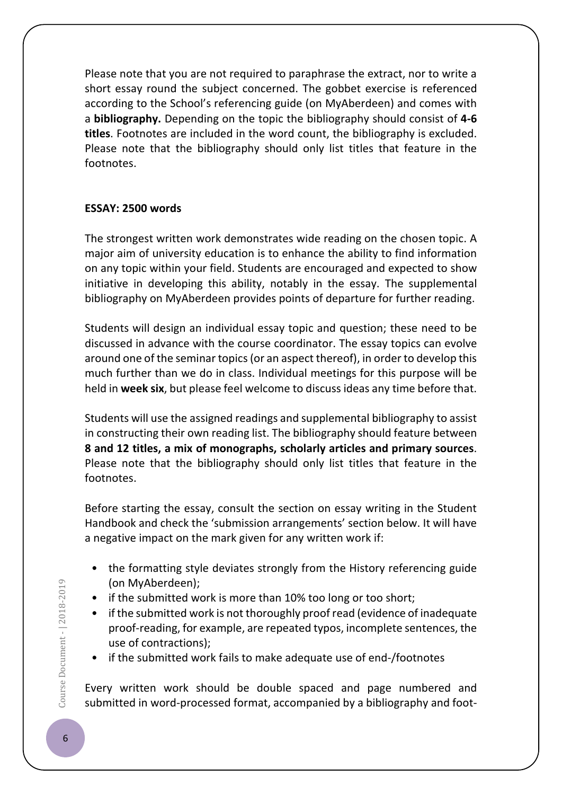Please note that you are not required to paraphrase the extract, nor to write a short essay round the subject concerned. The gobbet exercise is referenced according to the School's referencing guide (on MyAberdeen) and comes with a **bibliography.** Depending on the topic the bibliography should consist of **4-6 titles**. Footnotes are included in the word count, the bibliography is excluded. Please note that the bibliography should only list titles that feature in the footnotes.

## **ESSAY: 2500 words**

The strongest written work demonstrates wide reading on the chosen topic. A major aim of university education is to enhance the ability to find information on any topic within your field. Students are encouraged and expected to show initiative in developing this ability, notably in the essay. The supplemental bibliography on MyAberdeen provides points of departure for further reading.

Students will design an individual essay topic and question; these need to be discussed in advance with the course coordinator. The essay topics can evolve around one of the seminar topics (or an aspect thereof), in order to develop this much further than we do in class. Individual meetings for this purpose will be held in **week six**, but please feel welcome to discuss ideas any time before that.

Students will use the assigned readings and supplemental bibliography to assist in constructing their own reading list. The bibliography should feature between **8 and 12 titles, a mix of monographs, scholarly articles and primary sources**. Please note that the bibliography should only list titles that feature in the footnotes.

Before starting the essay, consult the section on essay writing in the Student Handbook and check the 'submission arrangements' section below. It will have a negative impact on the mark given for any written work if:

- the formatting style deviates strongly from the History referencing guide (on MyAberdeen);
- if the submitted work is more than 10% too long or too short;
- if the submitted work is not thoroughly proof read (evidence of inadequate proof-reading, for example, are repeated typos, incomplete sentences, the use of contractions);
- if the submitted work fails to make adequate use of end-/footnotes

Every written work should be double spaced and page numbered and submitted in word-processed format, accompanied by a bibliography and foot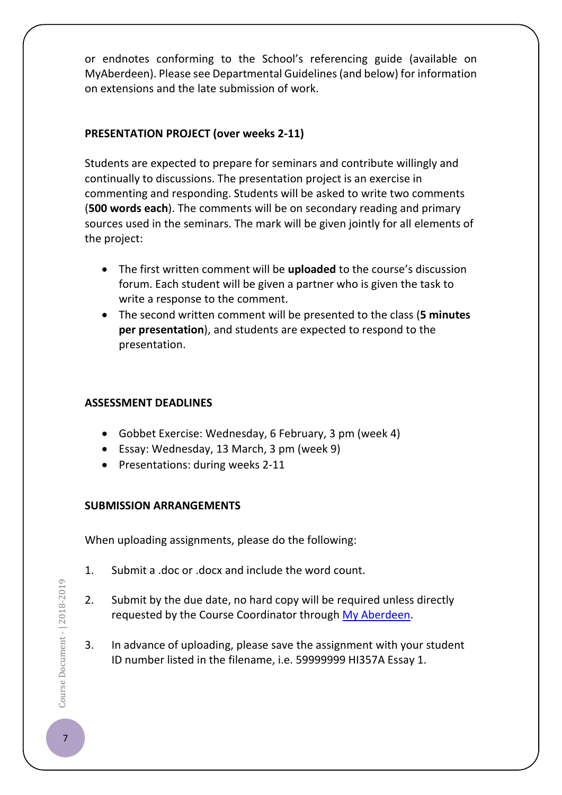or endnotes conforming to the School's referencing guide (available on MyAberdeen). Please see Departmental Guidelines (and below) for information on extensions and the late submission of work.

# **PRESENTATION PROJECT (over weeks 2-11)**

Students are expected to prepare for seminars and contribute willingly and continually to discussions. The presentation project is an exercise in commenting and responding. Students will be asked to write two comments (**500 words each**). The comments will be on secondary reading and primary sources used in the seminars. The mark will be given jointly for all elements of the project:

- The first written comment will be **uploaded** to the course's discussion forum. Each student will be given a partner who is given the task to write a response to the comment.
- The second written comment will be presented to the class (**5 minutes per presentation**), and students are expected to respond to the presentation.

## **ASSESSMENT DEADLINES**

- Gobbet Exercise: Wednesday, 6 February, 3 pm (week 4)
- Essay: Wednesday, 13 March, 3 pm (week 9)
- Presentations: during weeks 2-11

## **SUBMISSION ARRANGEMENTS**

When uploading assignments, please do the following:

- 1. Submit a .doc or .docx and include the word count.
- 2. Submit by the due date, no hard copy will be required unless directly requested by the Course Coordinator through [My Aberdeen.](https://abdn.blackboard.com/)
- 3. In advance of uploading, please save the assignment with your student ID number listed in the filename, i.e. 59999999 HI357A Essay 1.
- Course Document | 2018-2019  $\bullet$   $\bullet$  Document -  $| 2018$ -2019